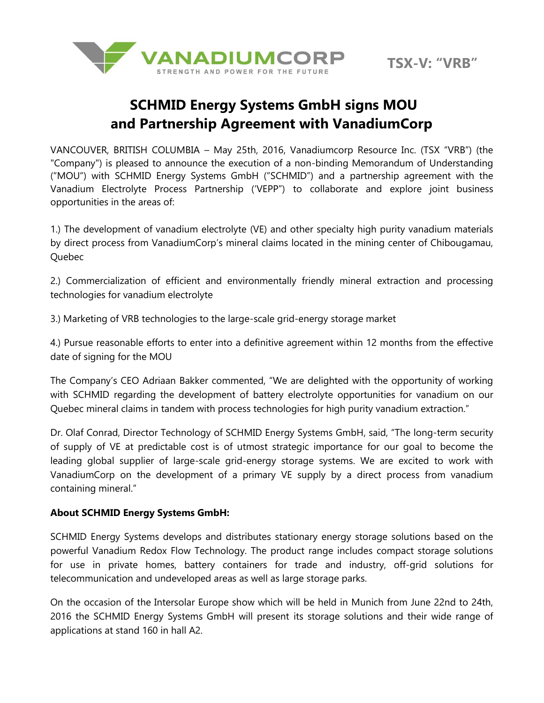

## **SCHMID Energy Systems GmbH signs MOU and Partnership Agreement with VanadiumCorp**

VANCOUVER, BRITISH COLUMBIA – May 25th, 2016, Vanadiumcorp Resource Inc. (TSX "VRB") (the "Company") is pleased to announce the execution of a non-binding Memorandum of Understanding ("MOU") with SCHMID Energy Systems GmbH ("SCHMID") and a partnership agreement with the Vanadium Electrolyte Process Partnership ('VEPP") to collaborate and explore joint business opportunities in the areas of:

1.) The development of vanadium electrolyte (VE) and other specialty high purity vanadium materials by direct process from VanadiumCorp's mineral claims located in the mining center of Chibougamau, Quebec

2.) Commercialization of efficient and environmentally friendly mineral extraction and processing technologies for vanadium electrolyte

3.) Marketing of VRB technologies to the large-scale grid-energy storage market

4.) Pursue reasonable efforts to enter into a definitive agreement within 12 months from the effective date of signing for the MOU

The Company's CEO Adriaan Bakker commented, "We are delighted with the opportunity of working with SCHMID regarding the development of battery electrolyte opportunities for vanadium on our Quebec mineral claims in tandem with process technologies for high purity vanadium extraction."

Dr. Olaf Conrad, Director Technology of SCHMID Energy Systems GmbH, said, "The long-term security of supply of VE at predictable cost is of utmost strategic importance for our goal to become the leading global supplier of large-scale grid-energy storage systems. We are excited to work with VanadiumCorp on the development of a primary VE supply by a direct process from vanadium containing mineral."

## **About SCHMID Energy Systems GmbH:**

SCHMID Energy Systems develops and distributes stationary energy storage solutions based on the powerful Vanadium Redox Flow Technology. The product range includes compact storage solutions for use in private homes, battery containers for trade and industry, off-grid solutions for telecommunication and undeveloped areas as well as large storage parks.

On the occasion of the Intersolar Europe show which will be held in Munich from June 22nd to 24th, 2016 the SCHMID Energy Systems GmbH will present its storage solutions and their wide range of applications at stand 160 in hall A2.